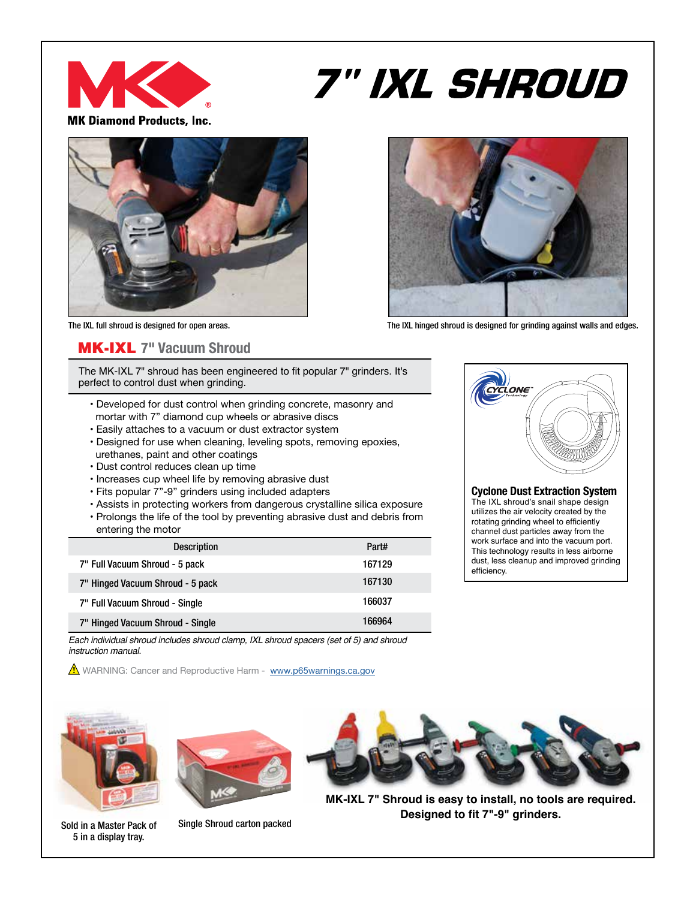

# *7" IXL SHROUD*

**MK Diamond Products, Inc.** 



The IXL full shroud is designed for open areas. The IXL hinged shroud is designed for grinding against walls and edges.

### MK-IXL **7" Vacuum Shroud**

The MK-IXL 7" shroud has been engineered to fit popular 7" grinders. It's perfect to control dust when grinding.

- Developed for dust control when grinding concrete, masonry and mortar with 7" diamond cup wheels or abrasive discs
- Easily attaches to a vacuum or dust extractor system
- Designed for use when cleaning, leveling spots, removing epoxies, urethanes, paint and other coatings
- Dust control reduces clean up time
- Increases cup wheel life by removing abrasive dust
- Fits popular 7"-9" grinders using included adapters
- Assists in protecting workers from dangerous crystalline silica exposure • Prolongs the life of the tool by preventing abrasive dust and debris from

| <b>Description</b>               | Part#  |
|----------------------------------|--------|
| 7" Full Vacuum Shroud - 5 pack   | 167129 |
| 7" Hinged Vacuum Shroud - 5 pack | 167130 |
| 7" Full Vacuum Shroud - Single   | 166037 |
| 7" Hinged Vacuum Shroud - Single | 166964 |

*Each individual shroud includes shroud clamp, IXL shroud spacers (set of 5) and shroud instruction manual.*

**1** WARNING: Cancer and Reproductive Harm - www.p65warnings.ca.gov



#### **Cyclone Dust Extraction System**

The IXL shroud's snail shape design utilizes the air velocity created by the rotating grinding wheel to efficiently channel dust particles away from the work surface and into the vacuum port. This technology results in less airborne dust, less cleanup and improved grinding efficiency.



Sold in a Master Pack of 5 in a display tray.



Single Shroud carton packed



**MK-IXL 7" Shroud is easy to install, no tools are required. Designed to fit 7"-9" grinders.**